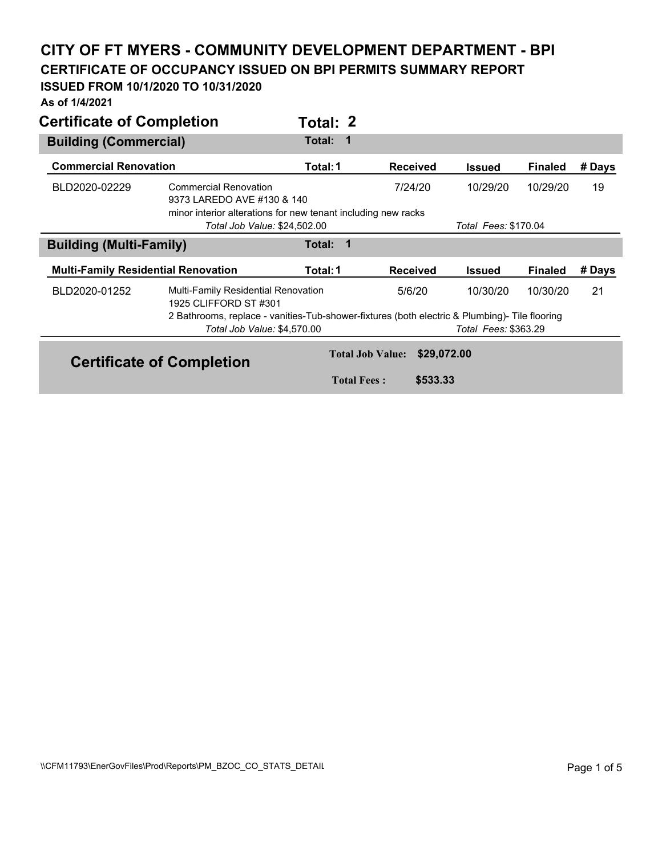## **CITY OF FT MYERS - COMMUNITY DEVELOPMENT DEPARTMENT - BPI**

**CERTIFICATE OF OCCUPANCY ISSUED ON BPI PERMITS SUMMARY REPORT** 

## **ISSUED FROM 10/1/2020 TO 10/31/2020**

**As of 1/4/2021** 

| <b>Certificate of Completion</b>           |                                                                                                                              | Total: 2           |                         |                             |                |        |
|--------------------------------------------|------------------------------------------------------------------------------------------------------------------------------|--------------------|-------------------------|-----------------------------|----------------|--------|
| <b>Building (Commercial)</b>               |                                                                                                                              | Total:<br>-1       |                         |                             | <b>Finaled</b> | # Days |
| <b>Commercial Renovation</b>               |                                                                                                                              | Total: 1           | <b>Received</b>         | <b>Issued</b>               |                |        |
| BLD2020-02229                              | <b>Commercial Renovation</b><br>9373 LAREDO AVE #130 & 140<br>minor interior alterations for new tenant including new racks  |                    | 7/24/20                 | 10/29/20                    | 10/29/20       | 19     |
|                                            | Total Job Value: \$24,502.00                                                                                                 |                    | Total Fees: \$170.04    |                             |                |        |
| <b>Building (Multi-Family)</b>             |                                                                                                                              | 1<br>Total:        |                         |                             |                |        |
| <b>Multi-Family Residential Renovation</b> |                                                                                                                              | Total: 1           | <b>Received</b>         | <b>Issued</b>               | <b>Finaled</b> | # Days |
| BLD2020-01252                              | Multi-Family Residential Renovation<br>1925 CLIFFORD ST #301                                                                 |                    | 5/6/20                  | 10/30/20                    | 10/30/20       | 21     |
|                                            | 2 Bathrooms, replace - vanities-Tub-shower-fixtures (both electric & Plumbing)- Tile flooring<br>Total Job Value: \$4,570.00 |                    |                         | <b>Total Fees: \$363.29</b> |                |        |
|                                            | <b>Certificate of Completion</b>                                                                                             |                    | <b>Total Job Value:</b> | \$29,072.00                 |                |        |
|                                            |                                                                                                                              | <b>Total Fees:</b> |                         | \$533.33                    |                |        |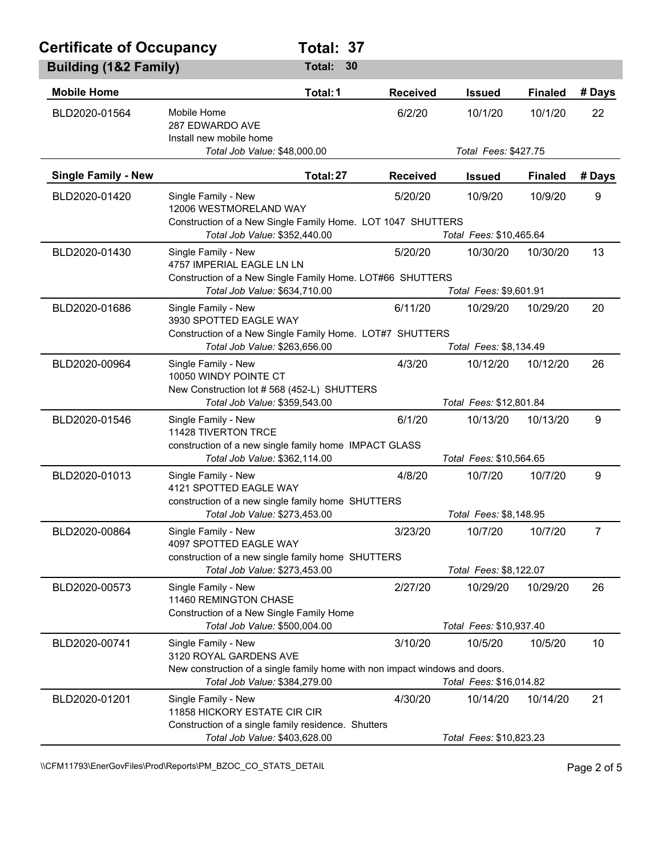## **Certificate of Occupancy Total: 37**

| <b>Building (1&amp;2 Family)</b> |                                                                                                                                               | Total:<br>30 |                 |                                    |                |                |
|----------------------------------|-----------------------------------------------------------------------------------------------------------------------------------------------|--------------|-----------------|------------------------------------|----------------|----------------|
| <b>Mobile Home</b>               |                                                                                                                                               | Total: 1     | <b>Received</b> | <b>Issued</b>                      | <b>Finaled</b> | # Days         |
| BLD2020-01564                    | Mobile Home<br>287 EDWARDO AVE<br>Install new mobile home                                                                                     |              | 6/2/20          | 10/1/20                            | 10/1/20        | 22             |
|                                  | Total Job Value: \$48,000.00                                                                                                                  |              |                 | Total Fees: \$427.75               |                |                |
| <b>Single Family - New</b>       |                                                                                                                                               | Total: 27    | <b>Received</b> | <b>Issued</b>                      | <b>Finaled</b> | # Days         |
| BLD2020-01420                    | Single Family - New<br>12006 WESTMORELAND WAY<br>Construction of a New Single Family Home. LOT 1047 SHUTTERS<br>Total Job Value: \$352,440.00 |              | 5/20/20         | 10/9/20<br>Total Fees: \$10,465.64 | 10/9/20        | 9              |
| BLD2020-01430                    | Single Family - New                                                                                                                           |              | 5/20/20         | 10/30/20                           | 10/30/20       | 13             |
|                                  | 4757 IMPERIAL EAGLE LN LN<br>Construction of a New Single Family Home. LOT#66 SHUTTERS<br>Total Job Value: \$634,710.00                       |              |                 | Total Fees: \$9,601.91             |                |                |
| BLD2020-01686                    | Single Family - New                                                                                                                           |              | 6/11/20         | 10/29/20                           | 10/29/20       | 20             |
|                                  | 3930 SPOTTED EAGLE WAY<br>Construction of a New Single Family Home. LOT#7 SHUTTERS<br>Total Job Value: \$263,656.00                           |              |                 | Total Fees: \$8,134.49             |                |                |
| BLD2020-00964                    | Single Family - New                                                                                                                           |              | 4/3/20          | 10/12/20                           | 10/12/20       | 26             |
|                                  | 10050 WINDY POINTE CT<br>New Construction lot #568 (452-L) SHUTTERS<br>Total Job Value: \$359,543.00                                          |              |                 | Total Fees: \$12,801.84            |                |                |
| BLD2020-01546                    | Single Family - New                                                                                                                           |              | 6/1/20          | 10/13/20                           | 10/13/20       | 9              |
|                                  | 11428 TIVERTON TRCE<br>construction of a new single family home IMPACT GLASS<br>Total Job Value: \$362,114.00                                 |              |                 | Total Fees: \$10,564.65            |                |                |
| BLD2020-01013                    | Single Family - New<br>4121 SPOTTED EAGLE WAY                                                                                                 |              | 4/8/20          | 10/7/20                            | 10/7/20        | 9              |
|                                  | construction of a new single family home SHUTTERS<br>Total Job Value: \$273,453.00                                                            |              |                 | Total Fees: \$8,148.95             |                |                |
| BLD2020-00864                    | Single Family - New<br>4097 SPOTTED EAGLE WAY                                                                                                 |              | 3/23/20         | 10/7/20                            | 10/7/20        | $\overline{7}$ |
|                                  | construction of a new single family home SHUTTERS                                                                                             |              |                 | Total Fees: \$8,122.07             |                |                |
| BLD2020-00573                    | Total Job Value: \$273,453.00<br>Single Family - New                                                                                          |              | 2/27/20         | 10/29/20                           | 10/29/20       | 26             |
|                                  | 11460 REMINGTON CHASE<br>Construction of a New Single Family Home                                                                             |              |                 |                                    |                |                |
|                                  | Total Job Value: \$500,004.00                                                                                                                 |              |                 | Total Fees: \$10,937.40            |                |                |
| BLD2020-00741                    | Single Family - New<br>3120 ROYAL GARDENS AVE<br>New construction of a single family home with non impact windows and doors.                  |              | 3/10/20         | 10/5/20                            | 10/5/20        | 10             |
|                                  | Total Job Value: \$384,279.00                                                                                                                 |              |                 | Total Fees: \$16,014.82            |                |                |
| BLD2020-01201                    | Single Family - New<br>11858 HICKORY ESTATE CIR CIR<br>Construction of a single family residence. Shutters                                    |              | 4/30/20         | 10/14/20                           | 10/14/20       | 21             |
|                                  | Total Job Value: \$403,628.00                                                                                                                 |              |                 | Total Fees: \$10,823.23            |                |                |

\\CFM11793\EnerGovFiles\Prod\Reports\PM\_BZOC\_CO\_STATS\_DETAIL\PhysicalCritics\PM\_BZOC\_CO\_STATS\_DETAIL\PhysicalCritics\PM\_BZOC\_CO\_STATS\_DETAIL\PhysicalCritics\PM\_BZOC\_CO\_STATS\_DETAIL\PhysicalCritics\PM\_BZOC\_CO\_STATS\_DETAIL\P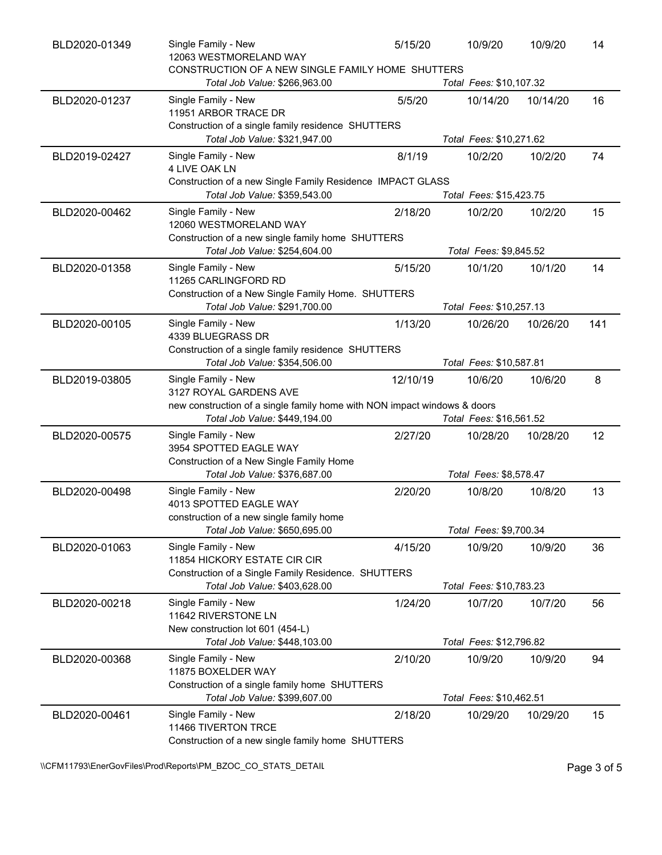| BLD2020-01349 | Single Family - New<br>12063 WESTMORELAND WAY<br>CONSTRUCTION OF A NEW SINGLE FAMILY HOME SHUTTERS         | 5/15/20  | 10/9/20                 | 10/9/20  | 14  |
|---------------|------------------------------------------------------------------------------------------------------------|----------|-------------------------|----------|-----|
|               | Total Job Value: \$266,963.00                                                                              |          | Total Fees: \$10,107.32 |          |     |
| BLD2020-01237 | Single Family - New<br>11951 ARBOR TRACE DR<br>Construction of a single family residence SHUTTERS          | 5/5/20   | 10/14/20                | 10/14/20 | 16  |
|               | Total Job Value: \$321,947.00                                                                              |          | Total Fees: \$10,271.62 |          |     |
| BLD2019-02427 | Single Family - New<br>4 LIVE OAK LN                                                                       | 8/1/19   | 10/2/20                 | 10/2/20  | 74  |
|               | Construction of a new Single Family Residence IMPACT GLASS<br>Total Job Value: \$359,543.00                |          | Total Fees: \$15,423.75 |          |     |
| BLD2020-00462 | Single Family - New<br>12060 WESTMORELAND WAY<br>Construction of a new single family home SHUTTERS         | 2/18/20  | 10/2/20                 | 10/2/20  | 15  |
|               | Total Job Value: \$254,604.00                                                                              |          | Total Fees: \$9,845.52  |          |     |
| BLD2020-01358 | Single Family - New<br>11265 CARLINGFORD RD                                                                | 5/15/20  | 10/1/20                 | 10/1/20  | 14  |
|               | Construction of a New Single Family Home. SHUTTERS<br>Total Job Value: \$291,700.00                        |          | Total Fees: \$10,257.13 |          |     |
| BLD2020-00105 | Single Family - New<br>4339 BLUEGRASS DR                                                                   | 1/13/20  | 10/26/20                | 10/26/20 | 141 |
|               | Construction of a single family residence SHUTTERS<br>Total Job Value: \$354,506.00                        |          | Total Fees: \$10,587.81 |          |     |
| BLD2019-03805 | Single Family - New<br>3127 ROYAL GARDENS AVE                                                              | 12/10/19 | 10/6/20                 | 10/6/20  | 8   |
|               | new construction of a single family home with NON impact windows & doors<br>Total Job Value: \$449,194.00  |          | Total Fees: \$16,561.52 |          |     |
| BLD2020-00575 | Single Family - New<br>3954 SPOTTED EAGLE WAY                                                              | 2/27/20  | 10/28/20                | 10/28/20 | 12  |
|               | Construction of a New Single Family Home<br>Total Job Value: \$376,687.00                                  |          | Total Fees: \$8,578.47  |          |     |
| BLD2020-00498 | Single Family - New<br>4013 SPOTTED EAGLE WAY<br>construction of a new single family home                  | 2/20/20  | 10/8/20                 | 10/8/20  | 13  |
|               | Total Job Value: \$650,695.00                                                                              |          | Total Fees: \$9,700.34  |          |     |
| BLD2020-01063 | Single Family - New<br>11854 HICKORY ESTATE CIR CIR<br>Construction of a Single Family Residence. SHUTTERS | 4/15/20  | 10/9/20                 | 10/9/20  | 36  |
|               | Total Job Value: \$403,628.00                                                                              |          | Total Fees: \$10,783.23 |          |     |
| BLD2020-00218 | Single Family - New<br>11642 RIVERSTONE LN<br>New construction lot 601 (454-L)                             | 1/24/20  | 10/7/20                 | 10/7/20  | 56  |
|               | Total Job Value: \$448,103.00                                                                              |          | Total Fees: \$12,796.82 |          |     |
| BLD2020-00368 | Single Family - New<br>11875 BOXELDER WAY                                                                  | 2/10/20  | 10/9/20                 | 10/9/20  | 94  |
|               | Construction of a single family home SHUTTERS<br>Total Job Value: \$399,607.00                             |          | Total Fees: \$10,462.51 |          |     |
| BLD2020-00461 | Single Family - New<br>11466 TIVERTON TRCE<br>Construction of a new single family home SHUTTERS            | 2/18/20  | 10/29/20                | 10/29/20 | 15  |

\\CFM11793\EnerGovFiles\Prod\Reports\PM\_BZOC\_CO\_STATS\_DETAIL\PhysicalCritic Page 3 of 5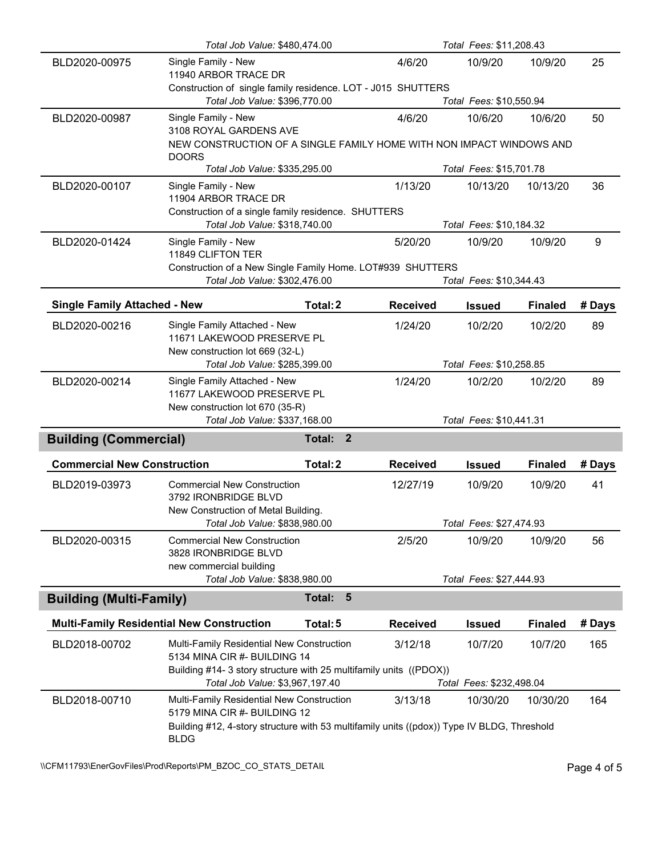|                                                            | Total Job Value: \$480,474.00                                                                                                             |                          |                 | Total Fees: \$11,208.43  |                |        |  |
|------------------------------------------------------------|-------------------------------------------------------------------------------------------------------------------------------------------|--------------------------|-----------------|--------------------------|----------------|--------|--|
| BLD2020-00975                                              | Single Family - New<br>11940 ARBOR TRACE DR                                                                                               |                          | 4/6/20          | 10/9/20                  | 10/9/20        | 25     |  |
|                                                            | Construction of single family residence. LOT - J015 SHUTTERS<br>Total Job Value: \$396,770.00                                             |                          |                 | Total Fees: \$10,550.94  |                |        |  |
| BLD2020-00987                                              | Single Family - New<br>3108 ROYAL GARDENS AVE                                                                                             |                          | 4/6/20          | 10/6/20                  | 10/6/20        | 50     |  |
|                                                            | NEW CONSTRUCTION OF A SINGLE FAMILY HOME WITH NON IMPACT WINDOWS AND<br><b>DOORS</b>                                                      |                          |                 |                          |                |        |  |
|                                                            | Total Job Value: \$335,295.00                                                                                                             |                          |                 | Total Fees: \$15,701.78  |                |        |  |
| BLD2020-00107                                              | Single Family - New<br>11904 ARBOR TRACE DR                                                                                               |                          | 1/13/20         | 10/13/20                 | 10/13/20       | 36     |  |
|                                                            | Construction of a single family residence. SHUTTERS<br>Total Job Value: \$318,740.00                                                      |                          |                 | Total Fees: \$10,184.32  |                |        |  |
| BLD2020-01424                                              | Single Family - New                                                                                                                       |                          | 5/20/20         | 10/9/20                  | 10/9/20        | 9      |  |
|                                                            | 11849 CLIFTON TER                                                                                                                         |                          |                 |                          |                |        |  |
|                                                            | Construction of a New Single Family Home. LOT#939 SHUTTERS                                                                                |                          |                 |                          |                |        |  |
|                                                            | Total Job Value: \$302,476.00                                                                                                             |                          |                 | Total Fees: \$10,344.43  |                |        |  |
| <b>Single Family Attached - New</b>                        |                                                                                                                                           | Total: 2                 | <b>Received</b> | <b>Issued</b>            | <b>Finaled</b> | # Days |  |
| BLD2020-00216                                              | Single Family Attached - New<br>11671 LAKEWOOD PRESERVE PL                                                                                |                          | 1/24/20         | 10/2/20                  | 10/2/20        | 89     |  |
|                                                            | New construction lot 669 (32-L)                                                                                                           |                          |                 |                          |                |        |  |
|                                                            | Total Job Value: \$285,399.00                                                                                                             |                          |                 | Total Fees: \$10,258.85  |                |        |  |
| BLD2020-00214                                              | Single Family Attached - New<br>11677 LAKEWOOD PRESERVE PL                                                                                |                          | 1/24/20         | 10/2/20                  | 10/2/20        | 89     |  |
|                                                            | New construction lot 670 (35-R)<br>Total Job Value: \$337,168.00                                                                          |                          |                 | Total Fees: \$10,441.31  |                |        |  |
| <b>Building (Commercial)</b>                               |                                                                                                                                           | $\overline{2}$<br>Total: |                 |                          |                |        |  |
| <b>Commercial New Construction</b>                         |                                                                                                                                           | Total: 2                 | <b>Received</b> | <b>Issued</b>            | <b>Finaled</b> | # Days |  |
| BLD2019-03973                                              | <b>Commercial New Construction</b><br>3792 IRONBRIDGE BLVD                                                                                |                          | 12/27/19        | 10/9/20                  | 10/9/20        | 41     |  |
|                                                            | New Construction of Metal Building.<br>Total Job Value: \$838,980.00                                                                      |                          |                 | Total Fees: \$27,474.93  |                |        |  |
| BLD2020-00315                                              | <b>Commercial New Construction</b>                                                                                                        |                          | 2/5/20          | 10/9/20                  | 10/9/20        | 56     |  |
|                                                            | 3828 IRONBRIDGE BLVD<br>new commercial building                                                                                           |                          |                 |                          |                |        |  |
|                                                            | Total Job Value: \$838,980.00                                                                                                             |                          |                 | Total Fees: \$27,444.93  |                |        |  |
| $5\phantom{1}$<br><b>Building (Multi-Family)</b><br>Total: |                                                                                                                                           |                          |                 |                          |                |        |  |
|                                                            | <b>Multi-Family Residential New Construction</b>                                                                                          | Total: 5                 | <b>Received</b> | <b>Issued</b>            | <b>Finaled</b> | # Days |  |
| BLD2018-00702                                              | <b>Multi-Family Residential New Construction</b>                                                                                          |                          | 3/12/18         | 10/7/20                  | 10/7/20        | 165    |  |
|                                                            | 5134 MINA CIR #- BUILDING 14<br>Building #14- 3 story structure with 25 multifamily units ((PDOX))                                        |                          |                 |                          |                |        |  |
|                                                            | Total Job Value: \$3,967,197.40                                                                                                           |                          |                 | Total Fees: \$232,498.04 |                |        |  |
| BLD2018-00710                                              | <b>Multi-Family Residential New Construction</b>                                                                                          |                          | 3/13/18         | 10/30/20                 | 10/30/20       | 164    |  |
|                                                            | 5179 MINA CIR #- BUILDING 12<br>Building #12, 4-story structure with 53 multifamily units ((pdox)) Type IV BLDG, Threshold<br><b>BLDG</b> |                          |                 |                          |                |        |  |